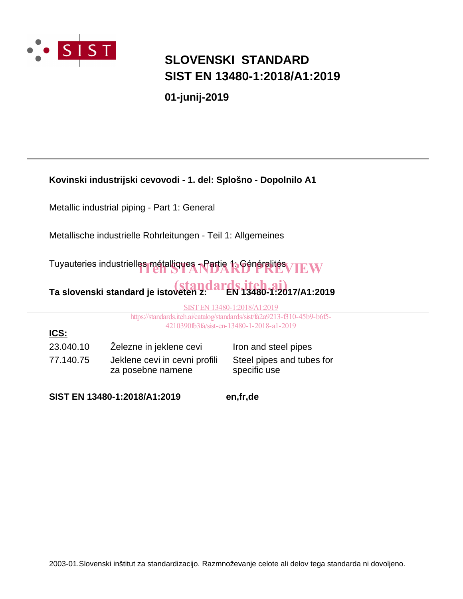

**ICS:**

### **SLOVENSKI STANDARD SIST EN 13480-1:2018/A1:2019**

**01-junij-2019**

### **Kovinski industrijski cevovodi - 1. del: Splošno - Dopolnilo A1**

Metallic industrial piping - Part 1: General

Metallische industrielle Rohrleitungen - Teil 1: Allgemeines

Tuyauteries industrielles métalliques - Partie 1; Généralités VIEW

# Ta slovenski standard je istoveten z: **EN 13480-1:2017/A1:2019**

SIST EN 13480-1:2018/A1:2019

https://standards.iteh.ai/catalog/standards/sist/fa2a9213-f310-45b9-b6f5- 4210390fb3fa/sist-en-13480-1-2018-a1-2019

23.040.10 Železne in jeklene cevi lron and steel pipes 77.140.75 Jeklene cevi in cevni profili za posebne namene

Steel pipes and tubes for specific use

**SIST EN 13480-1:2018/A1:2019 en,fr,de**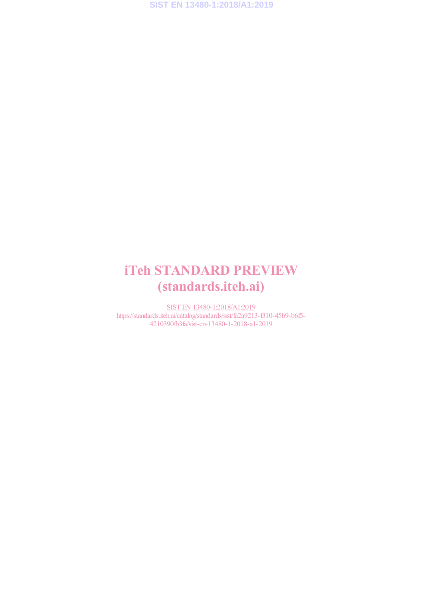### iTeh STANDARD PREVIEW (standards.iteh.ai)

SIST EN 13480-1:2018/A1:2019 https://standards.iteh.ai/catalog/standards/sist/fa2a9213-f310-45b9-b6f5- 4210390fb3fa/sist-en-13480-1-2018-a1-2019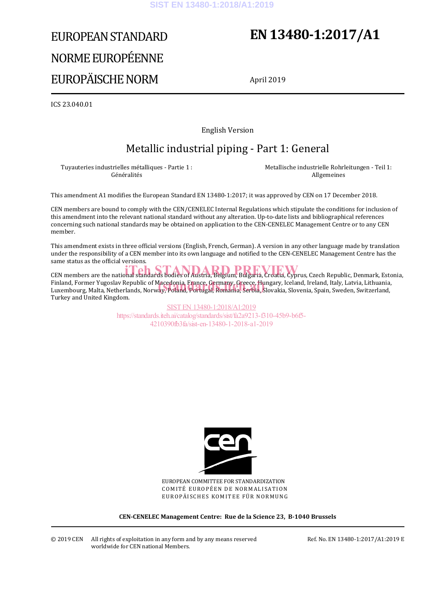# EUROPEAN STANDARD NORME EUROPÉENNE EUROPÄISCHE NORM

## **EN 13480-1:2017/A1**

April 2019

ICS 23.040.01

English Version

### Metallic industrial piping - Part 1: General

Tuyauteries industrielles métalliques - Partie 1 : Généralités

 Metallische industrielle Rohrleitungen - Teil 1: Allgemeines

This amendment A1 modifies the European Standard EN 13480-1:2017; it was approved by CEN on 17 December 2018.

CEN members are bound to comply with the CEN/CENELEC Internal Regulations which stipulate the conditions for inclusion of this amendment into the relevant national standard without any alteration. Up-to-date lists and bibliographical references concerning such national standards may be obtained on application to the CEN-CENELEC Management Centre or to any CEN member.

This amendment exists in three official versions (English, French, German). A version in any other language made by translation under the responsibility of a CEN member into its own language and notified to the CEN-CENELEC Management Centre has the same status as the official versions.

CEN members are the national standards bodies of Austria, Belgium, Bulgaria, Croatia, Cyprus, Czech Republic, Denmark, Estonia, Finland, Former Yugoslav Republic of Macedonia, France, Germany, Greece, Hungary, Iceland, Ireland, Italy, Latvia, Lithuania,<br>Luxembourg, Malta, Netherlands, Norway<del>,</del> Poland, Portugal, Romania, Serbia, Slovakia, Slovenia, Luxembourg, Malta, Netherlands, Norway, Poland, Portugal, Romania, Serbia, Slovakia, Slovenia, Spain, Sweden, Switzerland, Turkey and United Kingdom.

> SIST EN 13480-1:2018/A1:2019 https://standards.iteh.ai/catalog/standards/sist/fa2a9213-f310-45b9-b6f5- 4210390fb3fa/sist-en-13480-1-2018-a1-2019



EUROPEAN COMMITTEE FOR STANDARDIZATION COMITÉ EUROPÉEN DE NORMALISATION EUROPÄISCHES KOMITEE FÜR NORMUNG

**CEN-CENELEC Management Centre: Rue de la Science 23, B-1040 Brussels** 

© 2019 CEN All rights of exploitation in any form and by any means reserved worldwide for CEN national Members.

Ref. No. EN 13480-1:2017/A1:2019 E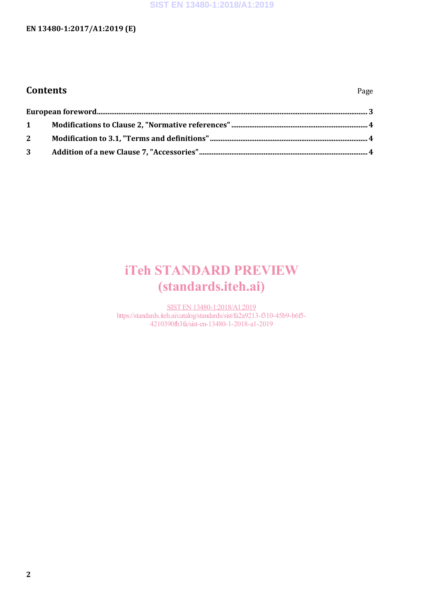#### **EN 13480-1:2017/A1:2019 (E)**

### **Contents** Page

### iTeh STANDARD PREVIEW (standards.iteh.ai)

SIST EN 13480-1:2018/A1:2019 https://standards.iteh.ai/catalog/standards/sist/fa2a9213-f310-45b9-b6f5- 4210390fb3fa/sist-en-13480-1-2018-a1-2019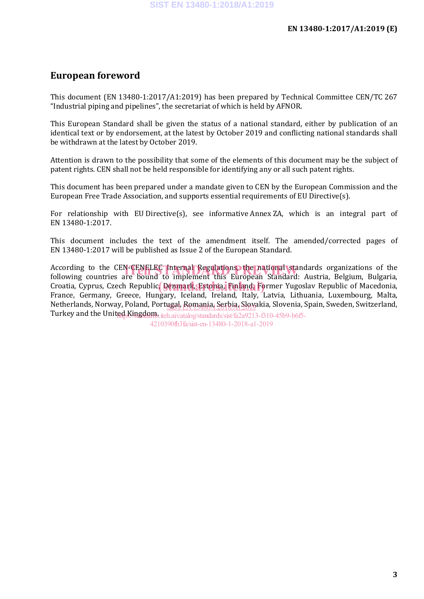### **European foreword**

This document (EN 13480-1:2017/A1:2019) has been prepared by Technical Committee CEN/TC 267 "Industrial piping and pipelines", the secretariat of which is held by AFNOR.

This European Standard shall be given the status of a national standard, either by publication of an identical text or by endorsement, at the latest by October 2019 and conflicting national standards shall be withdrawn at the latest by October 2019.

Attention is drawn to the possibility that some of the elements of this document may be the subject of patent rights. CEN shall not be held responsible for identifying any or all such patent rights.

This document has been prepared under a mandate given to CEN by the European Commission and the European Free Trade Association, and supports essential requirements of EU Directive(s).

For relationship with EU Directive(s), see informative Annex ZA, which is an integral part of EN 13480-1:2017.

This document includes the text of the amendment itself. The amended/corrected pages of EN 13480-1:2017 will be published as Issue 2 of the European Standard.

According to the CEN-CENELEC Internal Regulations, the national standards organizations of the following countries are bound to implement this European Standard: Austria, Belgium, Bulgaria, following countries are bound to implement this European Standard: Austria, Belgium, Bulgaria, Croatia, Cyprus, Czech Republic, Denmark, Estonia, Finland, Former Yugoslav Republic of Macedonia, Express, Campany, Gregory, Indian, Theory, Indian, Indian, Indian, Indian, Indian, Indian, Indian, Indian, Indian, Indian, France, Germany, Greece, Hungary, Iceland, Ireland, Italy, Latvia, Lithuania, Luxembourg, Malta, Netherlands, Norway, Poland, Portugal, Romania, Serbia, Slovakia, Slovenia, Spain, Sweden, Switzerland, SIST EN 13480-1:2018/A1:2019 Turkey and the United Kingdom. iteh.ai/catalog/standards/sist/fa2a9213-f310-45b9-b6f5-

4210390fb3fa/sist-en-13480-1-2018-a1-2019